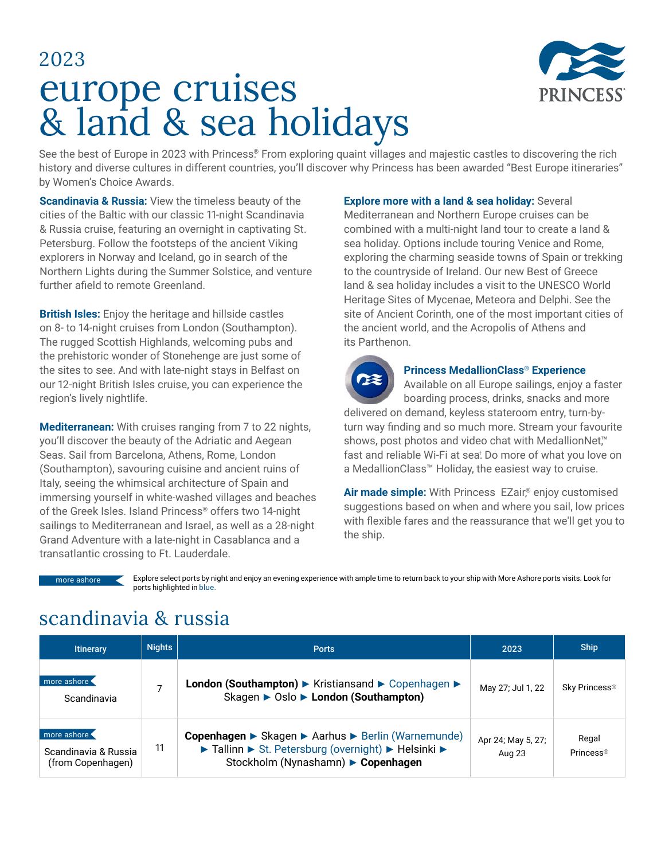



See the best of Europe in 2023 with Princess® From exploring quaint villages and majestic castles to discovering the rich history and diverse cultures in different countries, you'll discover why Princess has been awarded "Best Europe itineraries" by Women's Choice Awards.

**Scandinavia & Russia:** View the timeless beauty of the cities of the Baltic with our classic 11-night Scandinavia & Russia cruise, featuring an overnight in captivating St. Petersburg. Follow the footsteps of the ancient Viking explorers in Norway and Iceland, go in search of the Northern Lights during the Summer Solstice, and venture further afield to remote Greenland.

**British Isles:** Enjoy the heritage and hillside castles on 8- to 14-night cruises from London (Southampton). The rugged Scottish Highlands, welcoming pubs and the prehistoric wonder of Stonehenge are just some of the sites to see. And with late-night stays in Belfast on our 12-night British Isles cruise, you can experience the region's lively nightlife.

**Mediterranean:** With cruises ranging from 7 to 22 nights, you'll discover the beauty of the Adriatic and Aegean Seas. Sail from Barcelona, Athens, Rome, London (Southampton), savouring cuisine and ancient ruins of Italy, seeing the whimsical architecture of Spain and immersing yourself in white-washed villages and beaches of the Greek Isles. Island Princess® offers two 14-night sailings to Mediterranean and Israel, as well as a 28-night Grand Adventure with a late-night in Casablanca and a transatlantic crossing to Ft. Lauderdale.

**Explore more with a land & sea holiday: Several** Mediterranean and Northern Europe cruises can be combined with a multi-night land tour to create a land & sea holiday. Options include touring Venice and Rome, exploring the charming seaside towns of Spain or trekking to the countryside of Ireland. Our new Best of Greece land & sea holiday includes a visit to the UNESCO World Heritage Sites of Mycenae, Meteora and Delphi. See the site of Ancient Corinth, one of the most important cities of the ancient world, and the Acropolis of Athens and its Parthenon.



#### **Princess MedallionClass® Experience**

Available on all Europe sailings, enjoy a faster boarding process, drinks, snacks and more

delivered on demand, keyless stateroom entry, turn-byturn way finding and so much more. Stream your favourite shows, post photos and video chat with MedallionNet™ fast and reliable Wi-Fi at sea<sup>†</sup>. Do more of what you love on a MedallionClass™ Holiday, the easiest way to cruise.

Air made simple: With Princess EZair,<sup>®</sup> enjoy customised suggestions based on when and where you sail, low prices with flexible fares and the reassurance that we'll get you to the ship.

more ashore <

Explore select ports by night and enjoy an evening experience with ample time to return back to your ship with More Ashore ports visits. Look for ports highlighted in blue.

#### scandinavia & russia

| <b>Itinerary</b>                                         | <b>Nights</b> | <b>Ports</b>                                                                                                                                    | 2023                         | <b>Ship</b>                    |
|----------------------------------------------------------|---------------|-------------------------------------------------------------------------------------------------------------------------------------------------|------------------------------|--------------------------------|
| more ashore<br>Scandinavia                               |               | London (Southampton) ▶ Kristiansand ▶ Copenhagen ▶<br>Skagen ▶ Oslo ▶ London (Southampton)                                                      | May 27; Jul 1, 22            | Sky Princess <sup>®</sup>      |
| more ashore<br>Scandinavia & Russia<br>(from Copenhagen) | 11            | Copenhagen ► Skagen ► Aarhus ► Berlin (Warnemunde)<br>► Tallinn ► St. Petersburg (overnight) ► Helsinki ►<br>Stockholm (Nynashamn) ▶ Copenhagen | Apr 24; May 5, 27;<br>Aug 23 | Regal<br>Princess <sup>®</sup> |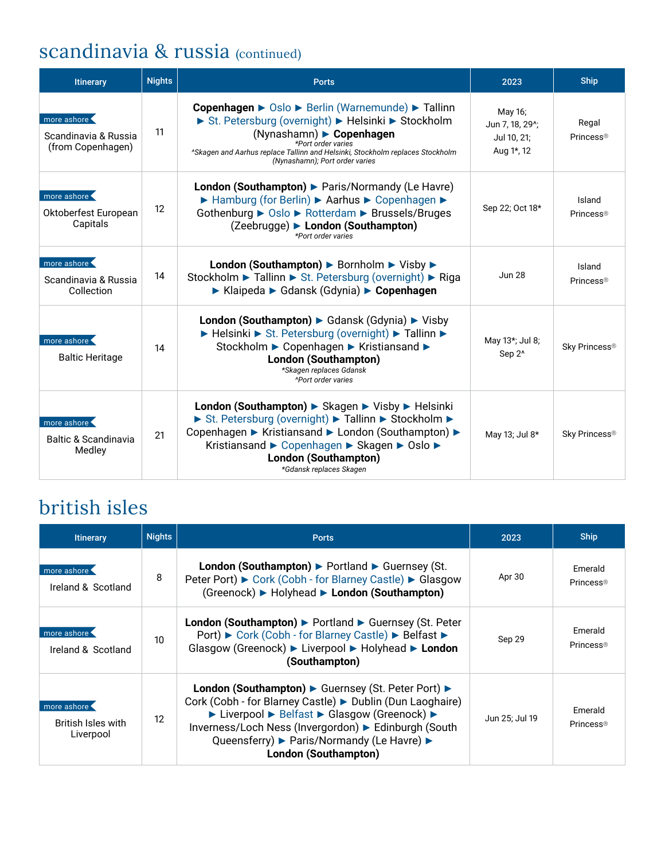# scandinavia & russia (continued)

| <b>Itinerary</b>                                         | <b>Nights</b>     | <b>Ports</b>                                                                                                                                                                                                                                                              | 2023                                                                 | <b>Ship</b>                     |
|----------------------------------------------------------|-------------------|---------------------------------------------------------------------------------------------------------------------------------------------------------------------------------------------------------------------------------------------------------------------------|----------------------------------------------------------------------|---------------------------------|
| more ashore<br>Scandinavia & Russia<br>(from Copenhagen) | 11                | Copenhagen ► Oslo ► Berlin (Warnemunde) ► Tallinn<br>St. Petersburg (overnight) > Helsinki > Stockholm<br>(Nynashamn) Copenhagen<br>*Port order varies<br>"Skagen and Aarhus replace Tallinn and Helsinki, Stockholm replaces Stockholm<br>(Nynashamn); Port order varies | May 16;<br>Jun 7, 18, 29 <sup>^</sup> ;<br>Jul 10, 21;<br>Aug 1*, 12 | Regal<br>Princess <sup>®</sup>  |
| more ashore<br>Oktoberfest European<br>Capitals          | $12 \overline{ }$ | London (Southampton) > Paris/Normandy (Le Havre)<br>► Hamburg (for Berlin) ► Aarhus ► Copenhagen ►<br>Gothenburg ▶ Oslo ▶ Rotterdam ▶ Brussels/Bruges<br>(Zeebrugge) ► London (Southampton)<br>*Port order varies                                                         | Sep 22; Oct 18*                                                      | Island<br>Princess <sup>®</sup> |
| more ashore<br>Scandinavia & Russia<br>Collection        | 14                | London (Southampton) ▶ Bornholm ▶ Visby ▶<br>Stockholm ► Tallinn ► St. Petersburg (overnight) ► Riga<br>▶ Klaipeda ▶ Gdansk (Gdynia) ▶ Copenhagen                                                                                                                         | <b>Jun 28</b>                                                        | Island<br>Princess <sup>®</sup> |
| more ashore<br><b>Baltic Heritage</b>                    | 14                | London (Southampton) Gdansk (Gdynia) Visby<br>► Helsinki ► St. Petersburg (overnight) ► Tallinn ►<br>Stockholm ► Copenhagen ► Kristiansand ►<br>London (Southampton)<br>*Skagen replaces Gdansk<br><b><i><u>APort order varies</u></i></b>                                | May 13*; Jul 8;<br>Sep 2 <sup>^</sup>                                | Sky Princess <sup>®</sup>       |
| more ashore<br><b>Baltic &amp; Scandinavia</b><br>Medley | 21                | London (Southampton) ► Skagen ► Visby ► Helsinki<br>St. Petersburg (overnight) > Tallinn > Stockholm ><br>Copenhagen ► Kristiansand ► London (Southampton) ►<br>Kristiansand ► Copenhagen ► Skagen ► Oslo ►<br><b>London (Southampton)</b><br>*Gdansk replaces Skagen     | May 13; Jul 8*                                                       | Sky Princess <sup>®</sup>       |

## british isles

| <b>Itinerary</b>                                      | <b>Nights</b> | <b>Ports</b>                                                                                                                                                                                                                                                                                         | 2023           | <b>Ship</b>                      |
|-------------------------------------------------------|---------------|------------------------------------------------------------------------------------------------------------------------------------------------------------------------------------------------------------------------------------------------------------------------------------------------------|----------------|----------------------------------|
| more ashore<br>Ireland & Scotland                     | 8             | London (Southampton) ▶ Portland ▶ Guernsey (St.<br>Peter Port) ► Cork (Cobh - for Blarney Castle) ► Glasgow<br>(Greenock) ► Holyhead ► London (Southampton)                                                                                                                                          | Apr 30         | Emerald<br>Princess <sup>®</sup> |
| more ashore<br>Ireland & Scotland                     | 10            | London (Southampton) ▶ Portland ▶ Guernsey (St. Peter<br>Port) ► Cork (Cobh - for Blarney Castle) ► Belfast ►<br>Glasgow (Greenock) ► Liverpool ► Holyhead ► London<br>(Southampton)                                                                                                                 | Sep 29         | Emerald<br>Princess <sup>®</sup> |
| more ashore<br><b>British Isles with</b><br>Liverpool | 12            | London (Southampton) ► Guernsey (St. Peter Port) ►<br>Cork (Cobh - for Blarney Castle) ► Dublin (Dun Laoghaire)<br>► Liverpool ► Belfast ► Glasgow (Greenock) ►<br>Inverness/Loch Ness (Invergordon) ► Edinburgh (South<br>Queensferry) ► Paris/Normandy (Le Havre) ►<br><b>London (Southampton)</b> | Jun 25; Jul 19 | Emerald<br>Princess <sup>®</sup> |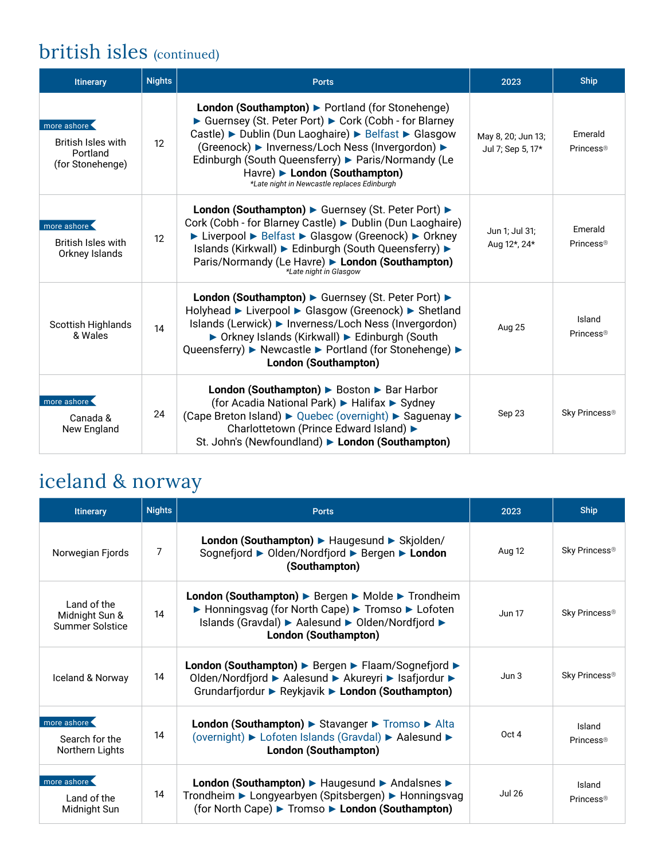## british isles (continued)

| <b>Itinerary</b>                                                         | <b>Nights</b>   | <b>Ports</b>                                                                                                                                                                                                                                                                                                                                               | 2023                                    | <b>Ship</b>                      |
|--------------------------------------------------------------------------|-----------------|------------------------------------------------------------------------------------------------------------------------------------------------------------------------------------------------------------------------------------------------------------------------------------------------------------------------------------------------------------|-----------------------------------------|----------------------------------|
| more ashore<br><b>British Isles with</b><br>Portland<br>(for Stonehenge) | 12 <sup>°</sup> | London (Southampton) > Portland (for Stonehenge)<br>► Guernsey (St. Peter Port) ► Cork (Cobh - for Blarney<br>Castle) ► Dublin (Dun Laoghaire) ► Belfast ► Glasgow<br>(Greenock) ► Inverness/Loch Ness (Invergordon) ►<br>Edinburgh (South Queensferry) > Paris/Normandy (Le<br>Havre) London (Southampton)<br>*Late night in Newcastle replaces Edinburgh | May 8, 20; Jun 13;<br>Jul 7; Sep 5, 17* | Emerald<br>Princess®             |
| more ashore<br><b>British Isles with</b><br>Orkney Islands               | 12              | London (Southampton) ► Guernsey (St. Peter Port) ►<br>Cork (Cobh - for Blarney Castle) ► Dublin (Dun Laoghaire)<br>► Liverpool ► Belfast ► Glasgow (Greenock) ► Orkney<br>Islands (Kirkwall) ► Edinburgh (South Queensferry) ►<br>Paris/Normandy (Le Havre) > London (Southampton)<br>*Late night in Glasgow                                               | Jun 1; Jul 31;<br>Aug 12*, 24*          | Emerald<br>Princess <sup>®</sup> |
| <b>Scottish Highlands</b><br>& Wales                                     | 14              | London (Southampton) ▶ Guernsey (St. Peter Port) ▶<br>Holyhead ► Liverpool ► Glasgow (Greenock) ► Shetland<br>Islands (Lerwick) ► Inverness/Loch Ness (Invergordon)<br>▶ Orkney Islands (Kirkwall) ▶ Edinburgh (South<br>Queensferry) ▶ Newcastle ▶ Portland (for Stonehenge) ▶<br>London (Southampton)                                                    | Aug 25                                  | Island<br>Princess <sup>®</sup>  |
| more ashore '<br>Canada &<br>New England                                 | 24              | London (Southampton) ▶ Boston ▶ Bar Harbor<br>(for Acadia National Park) ► Halifax ► Sydney<br>(Cape Breton Island) ► Quebec (overnight) ► Saguenay ►<br>Charlottetown (Prince Edward Island) ▶<br>St. John's (Newfoundland) London (Southampton)                                                                                                          | Sep 23                                  | Sky Princess®                    |

# iceland & norway

| <b>Itinerary</b>                                 | <b>Nights</b> | <b>Ports</b>                                                                                                                                                                       | 2023          | <b>Ship</b>                     |
|--------------------------------------------------|---------------|------------------------------------------------------------------------------------------------------------------------------------------------------------------------------------|---------------|---------------------------------|
| Norwegian Fjords                                 | 7             | London (Southampton) > Haugesund > Skjolden/<br>Sognefjord ► Olden/Nordfjord ► Bergen ► London<br>(Southampton)                                                                    | Aug 12        | Sky Princess®                   |
| Land of the<br>Midnight Sun &<br>Summer Solstice | 14            | London (Southampton) ▶ Bergen ▶ Molde ▶ Trondheim<br>► Honningsvag (for North Cape) ► Tromso ► Lofoten<br>Islands (Gravdal) ► Aalesund ► Olden/Nordfjord ►<br>London (Southampton) | <b>Jun 17</b> | Sky Princess <sup>®</sup>       |
| Iceland & Norway                                 | 14            | London (Southampton) ▶ Bergen ▶ Flaam/Sognefjord ▶<br>Olden/Nordfjord ► Aalesund ► Akureyri ► Isafjordur ►<br>Grundarfjordur ▶ Reykjavik ▶ London (Southampton)                    | Jun 3         | Sky Princess <sup>®</sup>       |
| more ashore<br>Search for the<br>Northern Lights | 14            | London (Southampton) > Stavanger > Tromso > Alta<br>(overnight) ► Lofoten Islands (Gravdal) ► Aalesund ►<br><b>London (Southampton)</b>                                            | Oct 4         | Island<br>Princess <sup>®</sup> |
| more ashore<br>Land of the<br>Midnight Sun       | 14            | London (Southampton) ▶ Haugesund ▶ Andalsnes ▶<br>Trondheim ► Longyearbyen (Spitsbergen) ► Honningsvag<br>(for North Cape) ► Tromso ► London (Southampton)                         | <b>Jul 26</b> | Island<br>Princess <sup>®</sup> |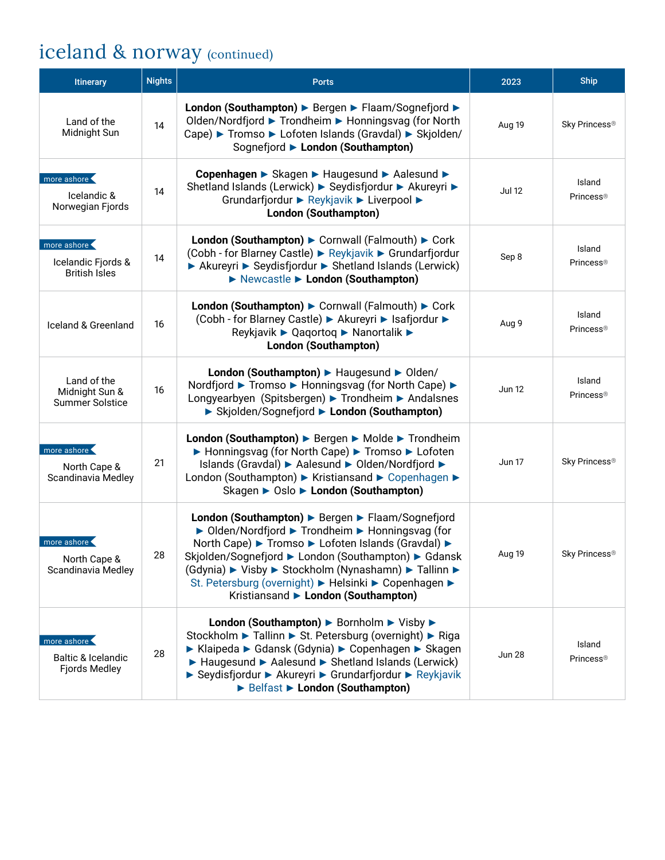# iceland & norway (continued)

| Itinerary                                                            | <b>Nights</b> | <b>Ports</b>                                                                                                                                                                                                                                                                                                                                                             | 2023          | <b>Ship</b>                            |
|----------------------------------------------------------------------|---------------|--------------------------------------------------------------------------------------------------------------------------------------------------------------------------------------------------------------------------------------------------------------------------------------------------------------------------------------------------------------------------|---------------|----------------------------------------|
| Land of the<br>Midnight Sun                                          | 14            | London (Southampton) ▶ Bergen ▶ Flaam/Sognefjord ▶<br>Olden/Nordfjord ► Trondheim ► Honningsvag (for North<br>Cape) ▶ Tromso ▶ Lofoten Islands (Gravdal) ▶ Skjolden/<br>Sognefjord > London (Southampton)                                                                                                                                                                | Aug 19        | Sky Princess®                          |
| more ashore<br>Icelandic &<br>Norwegian Fjords                       | 14            | Copenhagen ▶ Skagen ▶ Haugesund ▶ Aalesund ▶<br>Shetland Islands (Lerwick) ▶ Seydisfjordur ▶ Akureyri ▶<br>Grundarfjordur ▶ Reykjavik ▶ Liverpool ▶<br>London (Southampton)                                                                                                                                                                                              | <b>Jul 12</b> | Island<br>Princess <sup>®</sup>        |
| more ashore<br>Icelandic Fjords &<br><b>British Isles</b>            | 14            | London (Southampton) ▶ Cornwall (Falmouth) ▶ Cork<br>(Cobh - for Blarney Castle) ► Reykjavik ► Grundarfjordur<br>▶ Akureyri ▶ Seydisfjordur ▶ Shetland Islands (Lerwick)<br>Newcastle > London (Southampton)                                                                                                                                                             | Sep 8         | Island<br>Princess <sup>®</sup>        |
| Iceland & Greenland                                                  | 16            | London (Southampton) > Cornwall (Falmouth) > Cork<br>(Cobh - for Blarney Castle) ► Akureyri ► Isafjordur ►<br>Reykjavik ▶ Qaqortoq ▶ Nanortalik ▶<br><b>London (Southampton)</b>                                                                                                                                                                                         | Aug 9         | Island<br>Princess <sup>®</sup>        |
| Land of the<br>Midnight Sun &<br><b>Summer Solstice</b>              | 16            | London (Southampton) > Haugesund > Olden/<br>Nordfjord ► Tromso ► Honningsvag (for North Cape) ►<br>Longyearbyen (Spitsbergen) ▶ Trondheim ▶ Andalsnes<br>▶ Skjolden/Sognefjord ▶ London (Southampton)                                                                                                                                                                   | Jun 12        | Island<br>Princess <sup>®</sup>        |
| more ashore<br>North Cape &<br>Scandinavia Medley                    | 21            | London (Southampton) ▶ Bergen ▶ Molde ▶ Trondheim<br>▶ Honningsvag (for North Cape) ▶ Tromso ▶ Lofoten<br>Islands (Gravdal) ▶ Aalesund ▶ Olden/Nordfjord ▶<br>London (Southampton) ► Kristiansand ► Copenhagen ►<br>Skagen ▶ Oslo ▶ London (Southampton)                                                                                                                 | <b>Jun 17</b> | Sky Princess®                          |
| more ashore<br>North Cape &<br>Scandinavia Medley                    | 28            | London (Southampton) ▶ Bergen ▶ Flaam/Sognefjord<br>▶ Olden/Nordfjord ▶ Trondheim ▶ Honningsvag (for<br>North Cape) ▶ Tromso ▶ Lofoten Islands (Gravdal) ▶<br>Skjolden/Sognefjord ▶ London (Southampton) ▶ Gdansk<br>(Gdynia) ► Visby ► Stockholm (Nynashamn) ► Tallinn ►<br>St. Petersburg (overnight) ► Helsinki ► Copenhagen ►<br>Kristiansand > London (Southampton) | Aug 19        | Sky Princess®                          |
| more ashore<br><b>Baltic &amp; Icelandic</b><br><b>Fjords Medley</b> | 28            | London (Southampton) ▶ Bornholm ▶ Visby ▶<br>Stockholm ► Tallinn ► St. Petersburg (overnight) ► Riga<br>► Klaipeda ► Gdansk (Gdynia) ► Copenhagen ► Skagen<br>▶ Haugesund ▶ Aalesund ▶ Shetland Islands (Lerwick)<br>► Seydisfjordur ► Akureyri ► Grundarfjordur ► Reykjavik<br>Belfast > London (Southampton)                                                           | <b>Jun 28</b> | Island<br><b>Princess</b> <sup>®</sup> |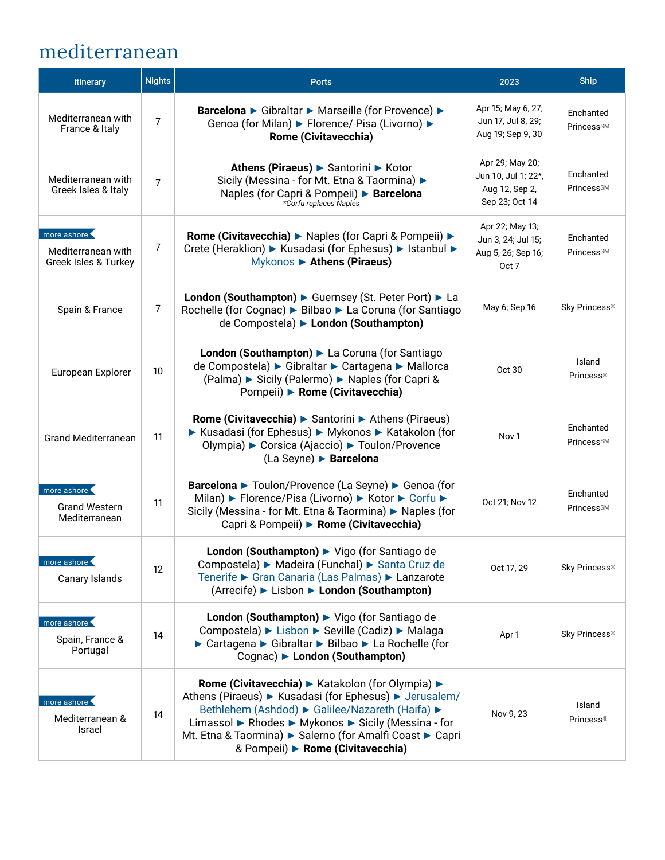### mediterranean

| Itinerary                                                 | <b>Nights</b>  | <b>Ports</b>                                                                                                                                                                                                                                                                                                          | 2023                                                                       | <b>Ship</b>                         |
|-----------------------------------------------------------|----------------|-----------------------------------------------------------------------------------------------------------------------------------------------------------------------------------------------------------------------------------------------------------------------------------------------------------------------|----------------------------------------------------------------------------|-------------------------------------|
| Mediterranean with<br>France & Italy                      | 7              | Barcelona > Gibraltar > Marseille (for Provence) ><br>Genoa (for Milan) ► Florence/ Pisa (Livorno) ►<br>Rome (Civitavecchia)                                                                                                                                                                                          | Apr 15; May 6, 27;<br>Jun 17, Jul 8, 29;<br>Aug 19; Sep 9, 30              | Enchanted<br>PrincessSM             |
| Mediterranean with<br>Greek Isles & Italy                 | $\overline{7}$ | Athens (Piraeus) ► Santorini ► Kotor<br>Sicily (Messina - for Mt. Etna & Taormina) ▶<br>Naples (for Capri & Pompeii) ▶ Barcelona<br>*Corfu replaces Naples                                                                                                                                                            | Apr 29; May 20;<br>Jun 10, Jul 1; 22*,<br>Aug 12, Sep 2,<br>Sep 23; Oct 14 | Enchanted<br><b>Princess</b> SM     |
| more ashore<br>Mediterranean with<br>Greek Isles & Turkey | 7              | Rome (Civitavecchia) > Naples (for Capri & Pompeii) ><br>Crete (Heraklion) ► Kusadasi (for Ephesus) ► Istanbul ►<br>Mykonos > Athens (Piraeus)                                                                                                                                                                        | Apr 22; May 13;<br>Jun 3, 24; Jul 15;<br>Aug 5, 26; Sep 16;<br>Oct 7       | Enchanted<br><b>Princess</b> SM     |
| Spain & France                                            | 7              | London (Southampton) ► Guernsey (St. Peter Port) ► La<br>Rochelle (for Cognac) ► Bilbao ► La Coruna (for Santiago<br>de Compostela) ► London (Southampton)                                                                                                                                                            | May 6; Sep 16                                                              | Sky Princess <sup>®</sup>           |
| European Explorer                                         | 10             | London (Southampton) La Coruna (for Santiago<br>de Compostela) ▶ Gibraltar ▶ Cartagena ▶ Mallorca<br>(Palma) ► Sicily (Palermo) ► Naples (for Capri &<br>Pompeii) > Rome (Civitavecchia)                                                                                                                              | Oct 30                                                                     | Island<br>Princess <sup>®</sup>     |
| <b>Grand Mediterranean</b>                                | 11             | Rome (Civitavecchia) ▶ Santorini ▶ Athens (Piraeus)<br>▶ Kusadasi (for Ephesus) ▶ Mykonos ▶ Katakolon (for<br>Olympia) ► Corsica (Ajaccio) ► Toulon/Provence<br>(La Seyne) ► Barcelona                                                                                                                                | Nov <sub>1</sub>                                                           | Enchanted<br>Princess <sup>SM</sup> |
| more ashore<br><b>Grand Western</b><br>Mediterranean      | 11             | Barcelona ► Toulon/Provence (La Seyne) ► Genoa (for<br>Milan) ► Florence/Pisa (Livorno) ► Kotor ► Corfu ►<br>Sicily (Messina - for Mt. Etna & Taormina) ▶ Naples (for<br>Capri & Pompeii) > Rome (Civitavecchia)                                                                                                      | Oct 21; Nov 12                                                             | Enchanted<br>PrincessSM             |
| more ashore<br>Canary Islands                             | 12             | London (Southampton) > Vigo (for Santiago de<br>Compostela) ► Madeira (Funchal) ► Santa Cruz de<br>Tenerife ► Gran Canaria (Las Palmas) ► Lanzarote<br>(Arrecife) ► Lisbon ► London (Southampton)                                                                                                                     | Oct 17, 29                                                                 | Sky Princess®                       |
| more ashore<br>Spain, France &<br>Portugal                | 14             | London (Southampton) > Vigo (for Santiago de<br>Compostela) ► Lisbon ► Seville (Cadiz) ► Malaga<br>► Cartagena ► Gibraltar ► Bilbao ► La Rochelle (for<br>Cognac) London (Southampton)                                                                                                                                | Apr 1                                                                      | Sky Princess®                       |
| more ashore<br>Mediterranean &<br>Israel                  | 14             | Rome (Civitavecchia) ► Katakolon (for Olympia) ►<br>Athens (Piraeus) ► Kusadasi (for Ephesus) ► Jerusalem/<br>Bethlehem (Ashdod) ► Galilee/Nazareth (Haifa) ►<br>Limassol ▶ Rhodes ▶ Mykonos ▶ Sicily (Messina - for<br>Mt. Etna & Taormina) ► Salerno (for Amalfi Coast ► Capri<br>& Pompeii) > Rome (Civitavecchia) | Nov 9, 23                                                                  | Island<br>Princess®                 |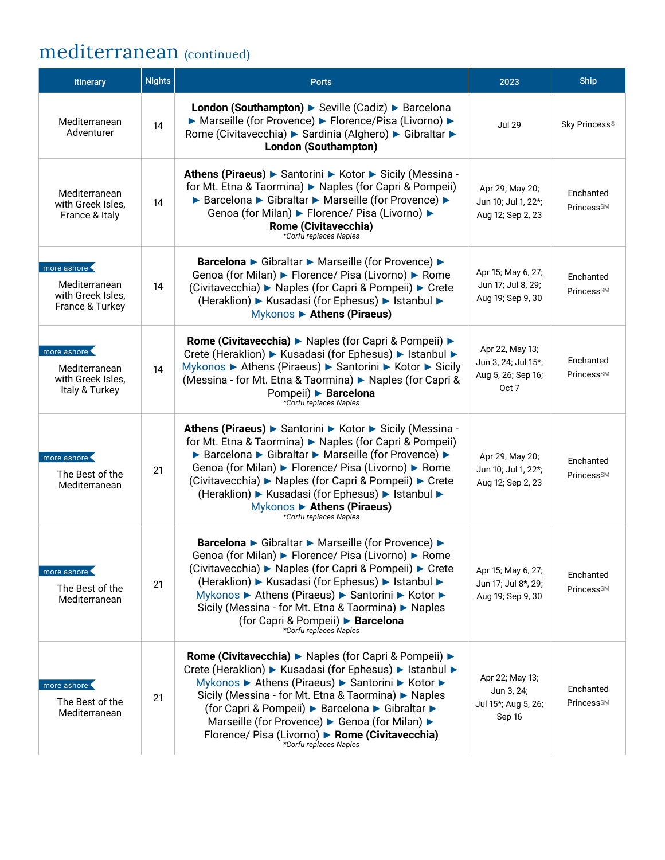### mediterranean (continued)

| <b>Itinerary</b>                                                     | <b>Nights</b> | <b>Ports</b>                                                                                                                                                                                                                                                                                                                                                                                                             | 2023                                                                  | <b>Ship</b>                         |
|----------------------------------------------------------------------|---------------|--------------------------------------------------------------------------------------------------------------------------------------------------------------------------------------------------------------------------------------------------------------------------------------------------------------------------------------------------------------------------------------------------------------------------|-----------------------------------------------------------------------|-------------------------------------|
| Mediterranean<br>Adventurer                                          | 14            | London (Southampton) > Seville (Cadiz) > Barcelona<br>▶ Marseille (for Provence) ▶ Florence/Pisa (Livorno) ▶<br>Rome (Civitavecchia) ▶ Sardinia (Alghero) ▶ Gibraltar ▶<br>London (Southampton)                                                                                                                                                                                                                          | <b>Jul 29</b>                                                         | Sky Princess®                       |
| Mediterranean<br>with Greek Isles,<br>France & Italy                 | 14            | Athens (Piraeus) ► Santorini ► Kotor ► Sicily (Messina -<br>for Mt. Etna & Taormina) ▶ Naples (for Capri & Pompeii)<br>▶ Barcelona ▶ Gibraltar ▶ Marseille (for Provence) ▶<br>Genoa (for Milan) ► Florence/ Pisa (Livorno) ►<br><b>Rome (Civitavecchia)</b><br>*Corfu replaces Naples                                                                                                                                   | Apr 29; May 20;<br>Jun 10; Jul 1, 22*;<br>Aug 12; Sep 2, 23           | Enchanted<br><b>PrincessSM</b>      |
| more ashore<br>Mediterranean<br>with Greek Isles,<br>France & Turkey | 14            | Barcelona ► Gibraltar ► Marseille (for Provence) ►<br>Genoa (for Milan) ► Florence/ Pisa (Livorno) ► Rome<br>(Civitavecchia) ► Naples (for Capri & Pompeii) ► Crete<br>(Heraklion) ► Kusadasi (for Ephesus) ► Istanbul ►<br>Mykonos > Athens (Piraeus)                                                                                                                                                                   | Apr 15; May 6, 27;<br>Jun 17; Jul 8, 29;<br>Aug 19; Sep 9, 30         | Enchanted<br><b>PrincessSM</b>      |
| more ashore<br>Mediterranean<br>with Greek Isles,<br>Italy & Turkey  | 14            | Rome (Civitavecchia) ► Naples (for Capri & Pompeii) ►<br>Crete (Heraklion) ► Kusadasi (for Ephesus) ► Istanbul ►<br>Mykonos ▶ Athens (Piraeus) ▶ Santorini ▶ Kotor ▶ Sicily<br>(Messina - for Mt. Etna & Taormina) ► Naples (for Capri &<br>Pompeii) ▶ Barcelona<br>*Corfu replaces Naples                                                                                                                               | Apr 22, May 13;<br>Jun 3, 24; Jul 15*;<br>Aug 5, 26; Sep 16;<br>Oct 7 | Enchanted<br>Princess <sup>SM</sup> |
| more ashore<br>The Best of the<br>Mediterranean                      | 21            | Athens (Piraeus) ► Santorini ► Kotor ► Sicily (Messina -<br>for Mt. Etna & Taormina) ▶ Naples (for Capri & Pompeii)<br>▶ Barcelona ▶ Gibraltar ▶ Marseille (for Provence) ▶<br>Genoa (for Milan) ► Florence/ Pisa (Livorno) ► Rome<br>(Civitavecchia) ► Naples (for Capri & Pompeii) ► Crete<br>(Heraklion) ► Kusadasi (for Ephesus) ► Istanbul ►<br>Mykonos > Athens (Piraeus)<br>*Corfu replaces Naples                | Apr 29, May 20;<br>Jun 10; Jul 1, 22*;<br>Aug 12; Sep 2, 23           | Enchanted<br><b>Princess</b> SM     |
| more ashore<br>The Best of the<br>Mediterranean                      | 21            | Barcelona ► Gibraltar ► Marseille (for Provence) ►<br>Genoa (for Milan) ► Florence/ Pisa (Livorno) ► Rome<br>(Civitavecchia) ▶ Naples (for Capri & Pompeii) ▶ Crete<br>(Heraklion) ► Kusadasi (for Ephesus) ► Istanbul ►<br>Mykonos ▶ Athens (Piraeus) ▶ Santorini ▶ Kotor ▶<br>Sicily (Messina - for Mt. Etna & Taormina) ▶ Naples<br>(for Capri & Pompeii) ▶ Barcelona<br>*Corfu replaces Naples                       | Apr 15; May 6, 27;<br>Jun 17; Jul 8*, 29;<br>Aug 19; Sep 9, 30        | Enchanted<br>Princess <sup>SM</sup> |
| more ashore<br>The Best of the<br>Mediterranean                      | 21            | <b>Rome (Civitavecchia) ▶ Naples (for Capri &amp; Pompeii) ▶</b><br>Crete (Heraklion) ► Kusadasi (for Ephesus) ► Istanbul ►<br>Mykonos ▶ Athens (Piraeus) ▶ Santorini ▶ Kotor ▶<br>Sicily (Messina - for Mt. Etna & Taormina) ▶ Naples<br>(for Capri & Pompeii) ▶ Barcelona ▶ Gibraltar ▶<br>Marseille (for Provence) ► Genoa (for Milan) ►<br>Florence/ Pisa (Livorno) > Rome (Civitavecchia)<br>*Corfu replaces Naples | Apr 22; May 13;<br>Jun 3, 24;<br>Jul 15*; Aug 5, 26;<br>Sep 16        | Enchanted<br><b>PrincessSM</b>      |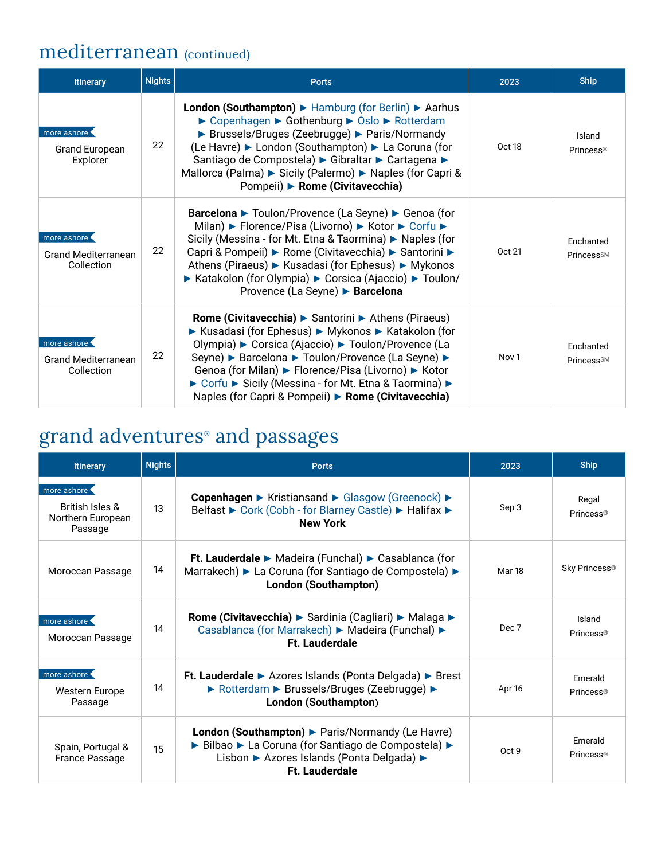#### mediterranean (continued)

| <b>Itinerary</b>                                        | <b>Nights</b> | <b>Ports</b>                                                                                                                                                                                                                                                                                                                                                                                                     | 2023             | <b>Ship</b>                         |
|---------------------------------------------------------|---------------|------------------------------------------------------------------------------------------------------------------------------------------------------------------------------------------------------------------------------------------------------------------------------------------------------------------------------------------------------------------------------------------------------------------|------------------|-------------------------------------|
| more ashore<br><b>Grand European</b><br>Explorer        | 22            | <b>London (Southampton)</b> $\blacktriangleright$ Hamburg (for Berlin) $\blacktriangleright$ Aarhus<br>► Copenhagen ► Gothenburg ► Oslo ► Rotterdam<br>▶ Brussels/Bruges (Zeebrugge) ▶ Paris/Normandy<br>(Le Havre) ► London (Southampton) ► La Coruna (for<br>Santiago de Compostela) ► Gibraltar ► Cartagena ►<br>Mallorca (Palma) ► Sicily (Palermo) ► Naples (for Capri &<br>Pompeii) ▶ Rome (Civitavecchia) | Oct 18           | Island<br>Princess®                 |
| more ashore<br><b>Grand Mediterranean</b><br>Collection | 22            | <b>Barcelona ►</b> Toulon/Provence (La Seyne) ► Genoa (for<br>Milan) ► Florence/Pisa (Livorno) ► Kotor ► Corfu ►<br>Sicily (Messina - for Mt. Etna & Taormina) ▶ Naples (for<br>Capri & Pompeii) ► Rome (Civitavecchia) ► Santorini ►<br>Athens (Piraeus) ► Kusadasi (for Ephesus) ► Mykonos<br>▶ Katakolon (for Olympia) ▶ Corsica (Ajaccio) ▶ Toulon/<br>Provence (La Seyne) ► Barcelona                       | Oct 21           | Enchanted<br><b>Princess</b> SM     |
| more ashore<br><b>Grand Mediterranean</b><br>Collection | 22            | <b>Rome (Civitavecchia) ▶ Santorini ▶ Athens (Piraeus)</b><br>▶ Kusadasi (for Ephesus) ▶ Mykonos ▶ Katakolon (for<br>Olympia) ► Corsica (Ajaccio) ► Toulon/Provence (La<br>Seyne) ► Barcelona ► Toulon/Provence (La Seyne) ►<br>Genoa (for Milan) ► Florence/Pisa (Livorno) ► Kotor<br>► Corfu ► Sicily (Messina - for Mt. Etna & Taormina) ►<br>Naples (for Capri & Pompeii) ▶ Rome (Civitavecchia)             | Nov <sub>1</sub> | Enchanted<br>Princess <sup>SM</sup> |

#### grand adventures® and passages

| <b>Itinerary</b>                                                          | <b>Nights</b> | <b>Ports</b>                                                                                                                                                                       | 2023   | <b>Ship</b>                      |
|---------------------------------------------------------------------------|---------------|------------------------------------------------------------------------------------------------------------------------------------------------------------------------------------|--------|----------------------------------|
| more ashore<br><b>British Isles &amp;</b><br>Northern European<br>Passage | 13            | Copenhagen ► Kristiansand ► Glasgow (Greenock) ►<br>Belfast ► Cork (Cobh - for Blarney Castle) ► Halifax ►<br><b>New York</b>                                                      | Sep 3  | Regal<br>Princess <sup>®</sup>   |
| Moroccan Passage                                                          | 14            | Ft. Lauderdale ► Madeira (Funchal) ► Casablanca (for<br>Marrakech) ► La Coruna (for Santiago de Compostela) ►<br><b>London (Southampton)</b>                                       | Mar 18 | Sky Princess <sup>®</sup>        |
| more ashore<br>Moroccan Passage                                           | 14            | Rome (Civitavecchia) ▶ Sardinia (Cagliari) ▶ Malaga ▶<br>Casablanca (for Marrakech) ► Madeira (Funchal) ►<br><b>Ft. Lauderdale</b>                                                 | Dec 7  | Island<br>Princess <sup>®</sup>  |
| more ashore<br><b>Western Europe</b><br>Passage                           | 14            | Ft. Lauderdale ▶ Azores Islands (Ponta Delgada) ▶ Brest<br>▶ Rotterdam ▶ Brussels/Bruges (Zeebrugge) ▶<br>London (Southampton)                                                     | Apr 16 | Emerald<br>Princess®             |
| Spain, Portugal &<br><b>France Passage</b>                                | 15            | <b>London (Southampton)</b> Paris/Normandy (Le Havre)<br>▶ Bilbao ▶ La Coruna (for Santiago de Compostela) ▶<br>Lisbon ▶ Azores Islands (Ponta Delgada) ▶<br><b>Ft. Lauderdale</b> | Oct 9  | Emerald<br>Princess <sup>®</sup> |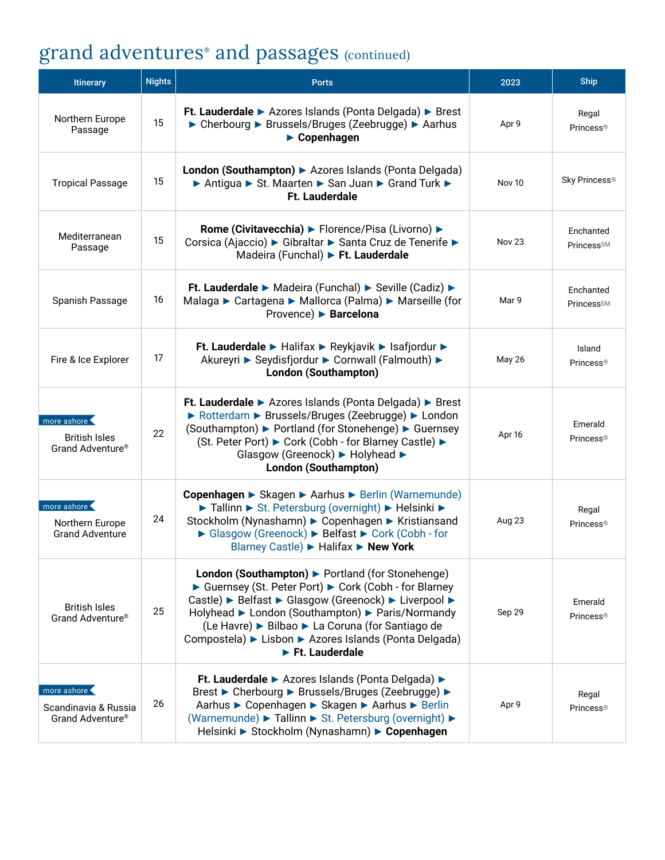#### grand adventures® and passages (continued)

| <b>Itinerary</b>                                                    | <b>Nights</b> | <b>Ports</b>                                                                                                                                                                                                                                                                                                                                                                | 2023          | <b>Ship</b>                      |
|---------------------------------------------------------------------|---------------|-----------------------------------------------------------------------------------------------------------------------------------------------------------------------------------------------------------------------------------------------------------------------------------------------------------------------------------------------------------------------------|---------------|----------------------------------|
| Northern Europe<br>Passage                                          | 15            | Ft. Lauderdale > Azores Islands (Ponta Delgada) > Brest<br>▶ Cherbourg ▶ Brussels/Bruges (Zeebrugge) ▶ Aarhus<br>$\blacktriangleright$ Copenhagen                                                                                                                                                                                                                           | Apr 9         | Regal<br>Princess <sup>®</sup>   |
| <b>Tropical Passage</b>                                             | 15            | London (Southampton) > Azores Islands (Ponta Delgada)<br>▶ Antigua ▶ St. Maarten ▶ San Juan ▶ Grand Turk ▶<br><b>Ft. Lauderdale</b>                                                                                                                                                                                                                                         | <b>Nov 10</b> | Sky Princess <sup>®</sup>        |
| Mediterranean<br>Passage                                            | 15            | Rome (Civitavecchia) ► Florence/Pisa (Livorno) ►<br>Corsica (Ajaccio) ► Gibraltar ► Santa Cruz de Tenerife ►<br>Madeira (Funchal) Ft. Lauderdale                                                                                                                                                                                                                            | <b>Nov 23</b> | Enchanted<br><b>PrincessSM</b>   |
| Spanish Passage                                                     | 16            | Ft. Lauderdale ▶ Madeira (Funchal) ▶ Seville (Cadiz) ▶<br>Malaga ► Cartagena ► Mallorca (Palma) ► Marseille (for<br>Provence) ► Barcelona                                                                                                                                                                                                                                   | Mar 9         | Enchanted<br><b>PrincessSM</b>   |
| Fire & Ice Explorer                                                 | 17            | Ft. Lauderdale ► Halifax ► Reykjavik ► Isafjordur ►<br>Akureyri ▶ Seydisfjordur ▶ Cornwall (Falmouth) ▶<br><b>London (Southampton)</b>                                                                                                                                                                                                                                      | May 26        | Island<br>Princess <sup>®</sup>  |
| more ashore<br><b>British Isles</b><br>Grand Adventure <sup>®</sup> | 22            | Ft. Lauderdale > Azores Islands (Ponta Delgada) > Brest<br>▶ Rotterdam ▶ Brussels/Bruges (Zeebrugge) ▶ London<br>(Southampton) ► Portland (for Stonehenge) ► Guernsey<br>(St. Peter Port) ► Cork (Cobh - for Blarney Castle) ►<br>Glasgow (Greenock) ► Holyhead ►<br><b>London (Southampton)</b>                                                                            | Apr 16        | Emerald<br>Princess <sup>®</sup> |
| more ashore<br>Northern Europe<br><b>Grand Adventure</b>            | 24            | Copenhagen ► Skagen ► Aarhus ► Berlin (Warnemunde)<br>Tallinn St. Petersburg (overnight) Helsinki ><br>Stockholm (Nynashamn) ▶ Copenhagen ▶ Kristiansand<br>► Glasgow (Greenock) ► Belfast ► Cork (Cobh - for<br>Blarney Castle) ► Halifax ► New York                                                                                                                       | Aug 23        | Regal<br>Princess <sup>®</sup>   |
| <b>British Isles</b><br>Grand Adventure <sup>®</sup>                | 25            | London (Southampton) > Portland (for Stonehenge)<br>► Guernsey (St. Peter Port) ► Cork (Cobh - for Blarney<br>Castle) ► Belfast ► Glasgow (Greenock) ► Liverpool ►<br>Holyhead ► London (Southampton) ► Paris/Normandy<br>(Le Havre) ► Bilbao ► La Coruna (for Santiago de<br>Compostela) ► Lisbon ► Azores Islands (Ponta Delgada)<br>$\blacktriangleright$ Ft. Lauderdale | Sep 29        | Emerald<br>Princess <sup>®</sup> |
| more ashore<br>Scandinavia & Russia<br>Grand Adventure <sup>®</sup> | 26            | Ft. Lauderdale ▶ Azores Islands (Ponta Delgada) ▶<br>Brest ► Cherbourg ► Brussels/Bruges (Zeebrugge) ►<br>Aarhus ► Copenhagen ► Skagen ► Aarhus ► Berlin<br>(Warnemunde) ► Tallinn ► St. Petersburg (overnight) ►<br>Helsinki ▶ Stockholm (Nynashamn) ▶ Copenhagen                                                                                                          | Apr 9         | Regal<br>Princess <sup>®</sup>   |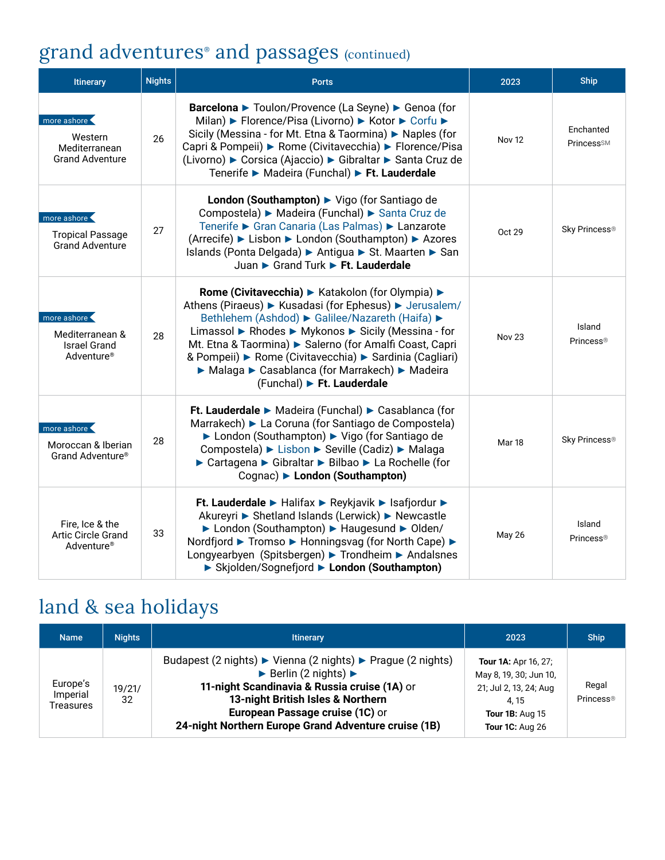## grand adventures® and passages (continued)

| <b>Itinerary</b>                                                                | <b>Nights</b> | <b>Ports</b>                                                                                                                                                                                                                                                                                                                                                                                                                | 2023          | Ship                            |
|---------------------------------------------------------------------------------|---------------|-----------------------------------------------------------------------------------------------------------------------------------------------------------------------------------------------------------------------------------------------------------------------------------------------------------------------------------------------------------------------------------------------------------------------------|---------------|---------------------------------|
| more ashore<br>Western<br>Mediterranean<br><b>Grand Adventure</b>               | 26            | Barcelona > Toulon/Provence (La Seyne) > Genoa (for<br>Milan) ► Florence/Pisa (Livorno) ► Kotor ► Corfu ►<br>Sicily (Messina - for Mt. Etna & Taormina) ▶ Naples (for<br>Capri & Pompeii) ▶ Rome (Civitavecchia) ▶ Florence/Pisa<br>(Livorno) ► Corsica (Ajaccio) ► Gibraltar ► Santa Cruz de<br>Tenerife ► Madeira (Funchal) ► Ft. Lauderdale                                                                              | <b>Nov 12</b> | Enchanted<br><b>PrincessSM</b>  |
| more ashore<br><b>Tropical Passage</b><br><b>Grand Adventure</b>                | 27            | London (Southampton) > Vigo (for Santiago de<br>Compostela) ► Madeira (Funchal) ► Santa Cruz de<br>Tenerife ► Gran Canaria (Las Palmas) ► Lanzarote<br>(Arrecife) ► Lisbon ► London (Southampton) ► Azores<br>Islands (Ponta Delgada) > Antigua > St. Maarten > San<br>Juan Grand Turk Ft. Lauderdale                                                                                                                       | Oct 29        | Sky Princess®                   |
| more ashore<br>Mediterranean &<br><b>Israel Grand</b><br>Adventure <sup>®</sup> | 28            | Rome (Civitavecchia) ► Katakolon (for Olympia) ►<br>Athens (Piraeus) ► Kusadasi (for Ephesus) ► Jerusalem/<br>Bethlehem (Ashdod) ► Galilee/Nazareth (Haifa) ►<br>Limassol ▶ Rhodes ▶ Mykonos ▶ Sicily (Messina - for<br>Mt. Etna & Taormina) > Salerno (for Amalfi Coast, Capri<br>& Pompeii) > Rome (Civitavecchia) > Sardinia (Cagliari)<br>▶ Malaga ▶ Casablanca (for Marrakech) ▶ Madeira<br>(Funchal) ► Ft. Lauderdale | <b>Nov 23</b> | Island<br>Princess®             |
| more ashore<br>Moroccan & Iberian<br>Grand Adventure <sup>®</sup>               | 28            | Ft. Lauderdale > Madeira (Funchal) > Casablanca (for<br>Marrakech) ► La Coruna (for Santiago de Compostela)<br>► London (Southampton) ► Vigo (for Santiago de<br>Compostela) ► Lisbon ► Seville (Cadiz) ► Malaga<br>► Cartagena ► Gibraltar ► Bilbao ► La Rochelle (for<br>Cognac) London (Southampton)                                                                                                                     | Mar 18        | Sky Princess <sup>®</sup>       |
| Fire, Ice & the<br><b>Artic Circle Grand</b><br>Adventure <sup>®</sup>          | 33            | Ft. Lauderdale ▶ Halifax ▶ Reykjavik ▶ Isafjordur ▶<br>Akureyri ► Shetland Islands (Lerwick) ► Newcastle<br>▶ London (Southampton) ▶ Haugesund ▶ Olden/<br>Nordfjord ► Tromso ► Honningsvag (for North Cape) ►<br>Longyearbyen (Spitsbergen) ▶ Trondheim ▶ Andalsnes<br>▶ Skjolden/Sognefjord ▶ London (Southampton)                                                                                                        | <b>May 26</b> | Island<br>Princess <sup>®</sup> |

## land & sea holidays

| <b>Name</b>                       | <b>Nights</b> | <b>Itinerary</b>                                                                                                                                                                                                                                                                                   | 2023                                                                                                                                        | <b>Ship</b>                    |
|-----------------------------------|---------------|----------------------------------------------------------------------------------------------------------------------------------------------------------------------------------------------------------------------------------------------------------------------------------------------------|---------------------------------------------------------------------------------------------------------------------------------------------|--------------------------------|
| Europe's<br>Imperial<br>Treasures | 19/21/<br>32  | Budapest (2 nights) ► Vienna (2 nights) ► Prague (2 nights)<br>$\triangleright$ Berlin (2 nights) $\triangleright$<br>11-night Scandinavia & Russia cruise (1A) or<br>13-night British Isles & Northern<br>European Passage cruise (1C) or<br>24-night Northern Europe Grand Adventure cruise (1B) | <b>Tour 1A: Apr 16, 27;</b><br>May 8, 19, 30; Jun 10,<br>21; Jul 2, 13, 24; Aug<br>4.15<br><b>Tour 1B: Aug 15</b><br><b>Tour 1C: Aug 26</b> | Regal<br>Princess <sup>®</sup> |